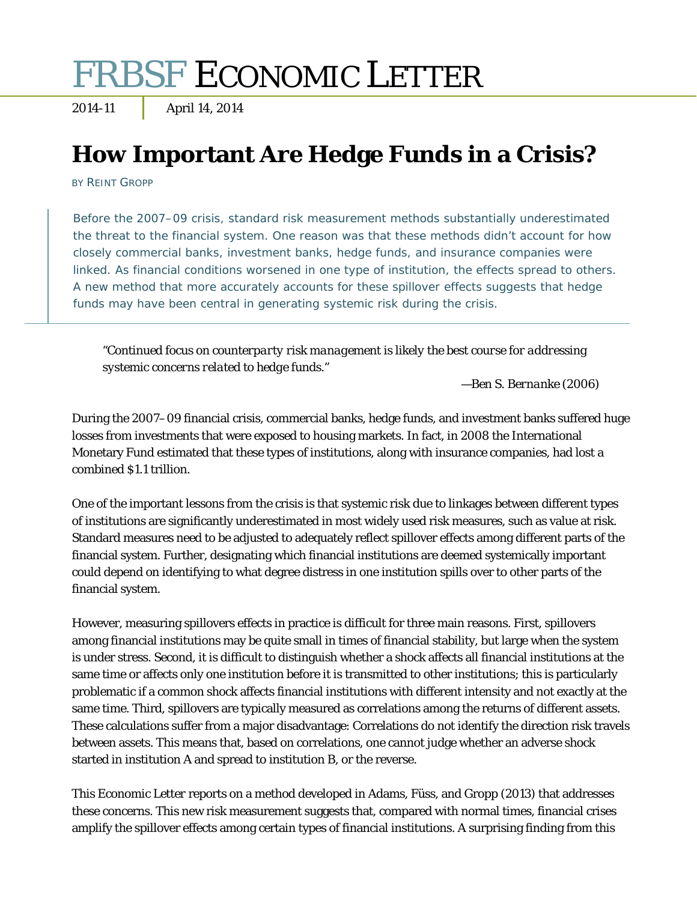# FRBSF ECONOMIC LETTER

### 2014-11 April 14, 2014

## **How Important Are Hedge Funds in a Crisis?**

BY REINT GROPP

Before the 2007–09 crisis, standard risk measurement methods substantially underestimated the threat to the financial system. One reason was that these methods didn't account for how closely commercial banks, investment banks, hedge funds, and insurance companies were linked. As financial conditions worsened in one type of institution, the effects spread to others. A new method that more accurately accounts for these spillover effects suggests that hedge funds may have been central in generating systemic risk during the crisis.

*"Continued focus on counterparty risk management is likely the best course for addressing systemic concerns related to hedge funds."* 

*—Ben S. Bernanke (2006)* 

During the 2007–09 financial crisis, commercial banks, hedge funds, and investment banks suffered huge losses from investments that were exposed to housing markets. In fact, in 2008 the International Monetary Fund estimated that these types of institutions, along with insurance companies, had lost a combined \$1.1 trillion.

One of the important lessons from the crisis is that systemic risk due to linkages between different types of institutions are significantly underestimated in most widely used risk measures, such as value at risk. Standard measures need to be adjusted to adequately reflect spillover effects among different parts of the financial system. Further, designating which financial institutions are deemed systemically important could depend on identifying to what degree distress in one institution spills over to other parts of the financial system.

However, measuring spillovers effects in practice is difficult for three main reasons. First, spillovers among financial institutions may be quite small in times of financial stability, but large when the system is under stress. Second, it is difficult to distinguish whether a shock affects all financial institutions at the same time or affects only one institution before it is transmitted to other institutions; this is particularly problematic if a common shock affects financial institutions with different intensity and not exactly at the same time. Third, spillovers are typically measured as correlations among the returns of different assets. These calculations suffer from a major disadvantage: Correlations do not identify the direction risk travels between assets. This means that, based on correlations, one cannot judge whether an adverse shock started in institution A and spread to institution B, or the reverse.

This *Economic Letter* reports on a method developed in Adams, Füss, and Gropp (2013) that addresses these concerns. This new risk measurement suggests that, compared with normal times, financial crises amplify the spillover effects among certain types of financial institutions. A surprising finding from this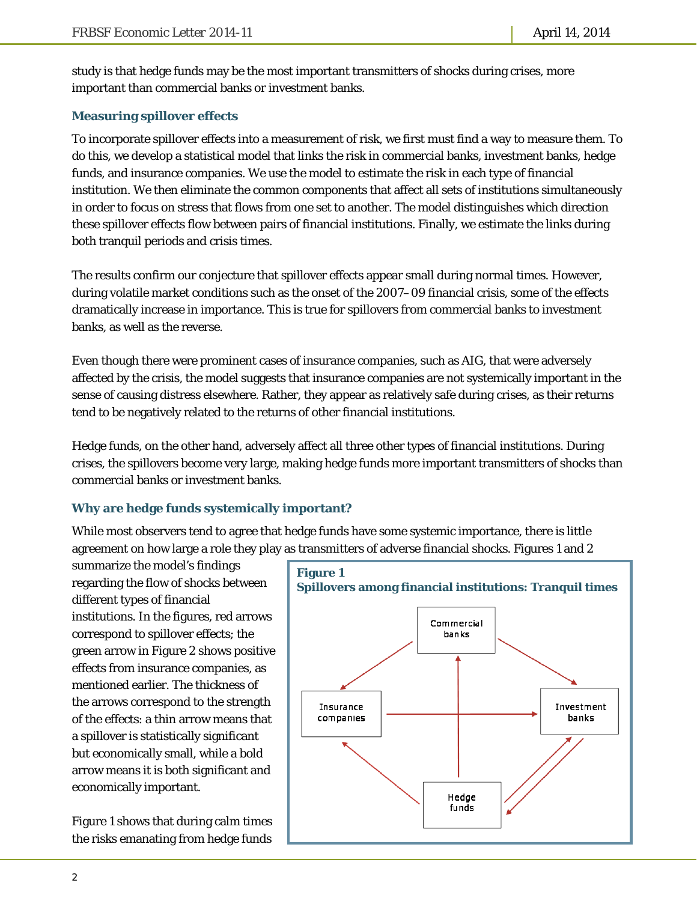study is that hedge funds may be the most important transmitters of shocks during crises, more important than commercial banks or investment banks.

#### **Measuring spillover effects**

To incorporate spillover effects into a measurement of risk, we first must find a way to measure them. To do this, we develop a statistical model that links the risk in commercial banks, investment banks, hedge funds, and insurance companies. We use the model to estimate the risk in each type of financial institution. We then eliminate the common components that affect all sets of institutions simultaneously in order to focus on stress that flows from one set to another. The model distinguishes which direction these spillover effects flow between pairs of financial institutions. Finally, we estimate the links during both tranquil periods and crisis times.

The results confirm our conjecture that spillover effects appear small during normal times. However, during volatile market conditions such as the onset of the 2007–09 financial crisis, some of the effects dramatically increase in importance. This is true for spillovers from commercial banks to investment banks, as well as the reverse.

Even though there were prominent cases of insurance companies, such as AIG, that were adversely affected by the crisis, the model suggests that insurance companies are not systemically important in the sense of causing distress elsewhere. Rather, they appear as relatively safe during crises, as their returns tend to be negatively related to the returns of other financial institutions.

Hedge funds, on the other hand, adversely affect all three other types of financial institutions. During crises, the spillovers become very large, making hedge funds more important transmitters of shocks than commercial banks or investment banks.

#### **Why are hedge funds systemically important?**

While most observers tend to agree that hedge funds have some systemic importance, there is little agreement on how large a role they play as transmitters of adverse financial shocks. Figures 1 and 2

summarize the model's findings regarding the flow of shocks between different types of financial institutions. In the figures, red arrows correspond to spillover effects; the green arrow in Figure 2 shows positive effects from insurance companies, as mentioned earlier. The thickness of the arrows correspond to the strength of the effects: a thin arrow means that a spillover is statistically significant but economically small, while a bold arrow means it is both significant and economically important.

Figure 1 shows that during calm times the risks emanating from hedge funds

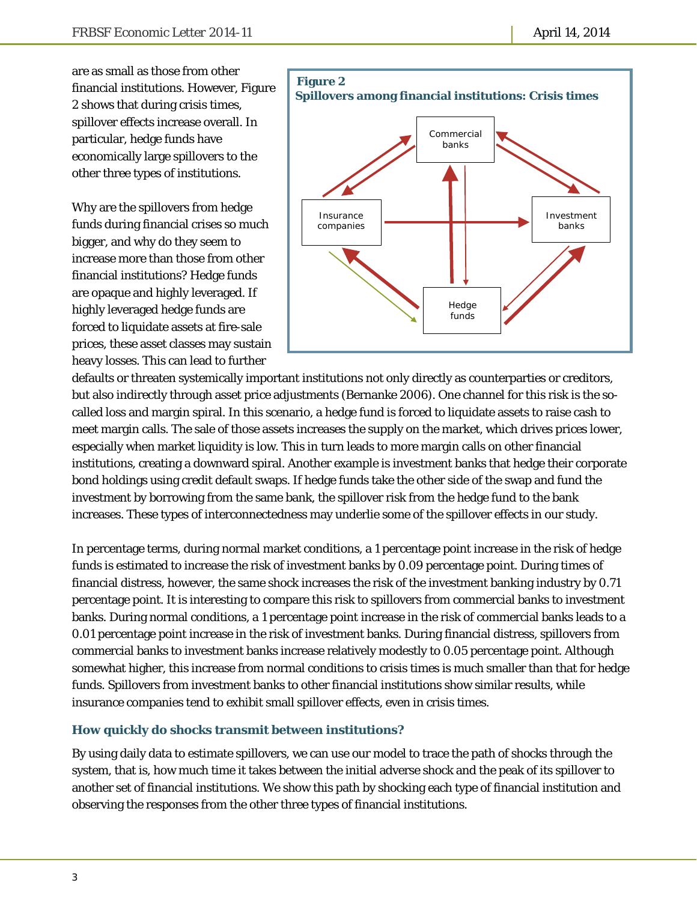are as small as those from other financial institutions. However, Figure 2 shows that during crisis times, spillover effects increase overall. In particular, hedge funds have economically large spillovers to the other three types of institutions.

Why are the spillovers from hedge funds during financial crises so much bigger, and why do they seem to increase more than those from other financial institutions? Hedge funds are opaque and highly leveraged. If highly leveraged hedge funds are forced to liquidate assets at fire-sale prices, these asset classes may sustain heavy losses. This can lead to further



defaults or threaten systemically important institutions not only directly as counterparties or creditors, but also indirectly through asset price adjustments (Bernanke 2006). One channel for this risk is the socalled loss and margin spiral. In this scenario, a hedge fund is forced to liquidate assets to raise cash to meet margin calls. The sale of those assets increases the supply on the market, which drives prices lower, especially when market liquidity is low. This in turn leads to more margin calls on other financial institutions, creating a downward spiral. Another example is investment banks that hedge their corporate bond holdings using credit default swaps. If hedge funds take the other side of the swap and fund the investment by borrowing from the same bank, the spillover risk from the hedge fund to the bank increases. These types of interconnectedness may underlie some of the spillover effects in our study.

In percentage terms, during normal market conditions, a 1 percentage point increase in the risk of hedge funds is estimated to increase the risk of investment banks by 0.09 percentage point. During times of financial distress, however, the same shock increases the risk of the investment banking industry by 0.71 percentage point. It is interesting to compare this risk to spillovers from commercial banks to investment banks. During normal conditions, a 1 percentage point increase in the risk of commercial banks leads to a 0.01 percentage point increase in the risk of investment banks. During financial distress, spillovers from commercial banks to investment banks increase relatively modestly to 0.05 percentage point. Although somewhat higher, this increase from normal conditions to crisis times is much smaller than that for hedge funds. Spillovers from investment banks to other financial institutions show similar results, while insurance companies tend to exhibit small spillover effects, even in crisis times.

#### **How quickly do shocks transmit between institutions?**

By using daily data to estimate spillovers, we can use our model to trace the path of shocks through the system, that is, how much time it takes between the initial adverse shock and the peak of its spillover to another set of financial institutions. We show this path by shocking each type of financial institution and observing the responses from the other three types of financial institutions.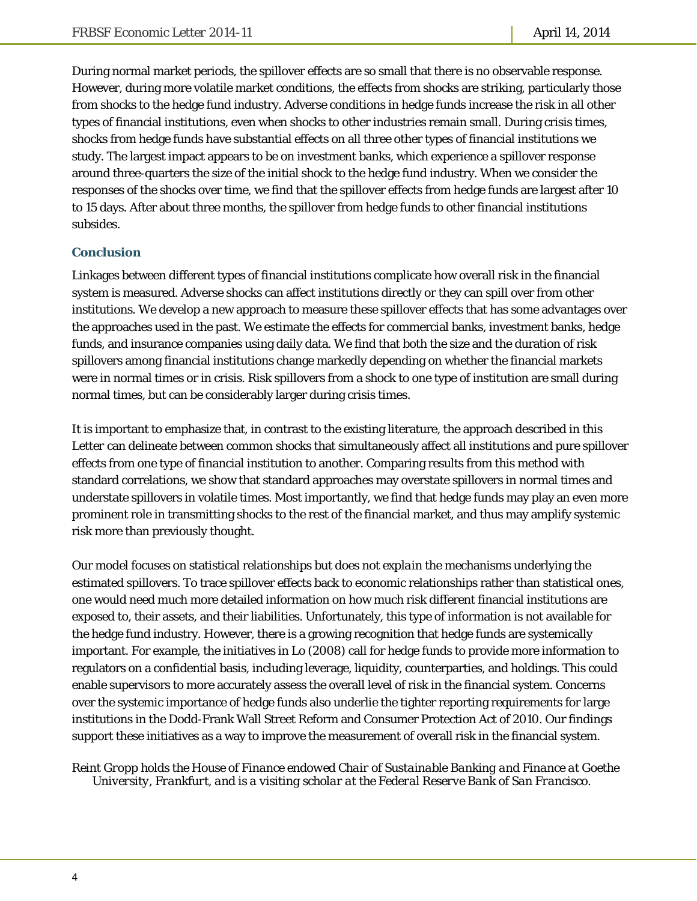During normal market periods, the spillover effects are so small that there is no observable response. However, during more volatile market conditions, the effects from shocks are striking, particularly those from shocks to the hedge fund industry. Adverse conditions in hedge funds increase the risk in all other types of financial institutions, even when shocks to other industries remain small. During crisis times, shocks from hedge funds have substantial effects on all three other types of financial institutions we study. The largest impact appears to be on investment banks, which experience a spillover response around three-quarters the size of the initial shock to the hedge fund industry. When we consider the responses of the shocks over time, we find that the spillover effects from hedge funds are largest after 10 to 15 days. After about three months, the spillover from hedge funds to other financial institutions subsides.

#### **Conclusion**

Linkages between different types of financial institutions complicate how overall risk in the financial system is measured. Adverse shocks can affect institutions directly or they can spill over from other institutions. We develop a new approach to measure these spillover effects that has some advantages over the approaches used in the past. We estimate the effects for commercial banks, investment banks, hedge funds, and insurance companies using daily data. We find that both the size and the duration of risk spillovers among financial institutions change markedly depending on whether the financial markets were in normal times or in crisis. Risk spillovers from a shock to one type of institution are small during normal times, but can be considerably larger during crisis times.

It is important to emphasize that, in contrast to the existing literature, the approach described in this *Letter* can delineate between common shocks that simultaneously affect all institutions and pure spillover effects from one type of financial institution to another. Comparing results from this method with standard correlations, we show that standard approaches may overstate spillovers in normal times and understate spillovers in volatile times. Most importantly, we find that hedge funds may play an even more prominent role in transmitting shocks to the rest of the financial market, and thus may amplify systemic risk more than previously thought.

Our model focuses on statistical relationships but does not *explain* the mechanisms underlying the estimated spillovers. To trace spillover effects back to economic relationships rather than statistical ones, one would need much more detailed information on how much risk different financial institutions are exposed to, their assets, and their liabilities. Unfortunately, this type of information is not available for the hedge fund industry. However, there is a growing recognition that hedge funds are systemically important. For example, the initiatives in Lo (2008) call for hedge funds to provide more information to regulators on a confidential basis, including leverage, liquidity, counterparties, and holdings. This could enable supervisors to more accurately assess the overall level of risk in the financial system. Concerns over the systemic importance of hedge funds also underlie the tighter reporting requirements for large institutions in the Dodd-Frank Wall Street Reform and Consumer Protection Act of 2010. Our findings support these initiatives as a way to improve the measurement of overall risk in the financial system.

#### *Reint Gropp holds the House of Finance endowed Chair of Sustainable Banking and Finance at Goethe University, Frankfurt, and is a visiting scholar at the Federal Reserve Bank of San Francisco.*